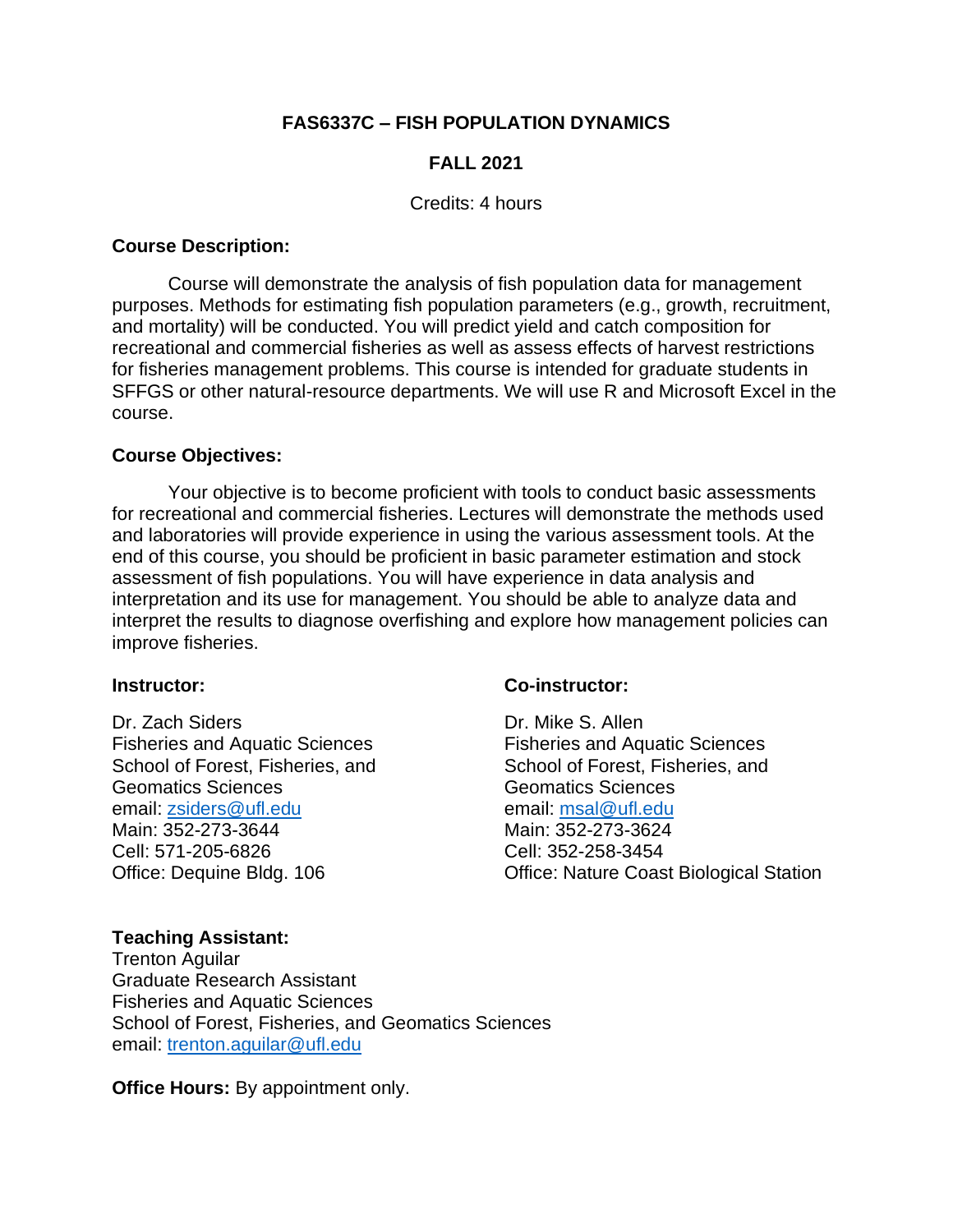# **FAS6337C – FISH POPULATION DYNAMICS**

# **FALL 2021**

#### Credits: 4 hours

#### **Course Description:**

Course will demonstrate the analysis of fish population data for management purposes. Methods for estimating fish population parameters (e.g., growth, recruitment, and mortality) will be conducted. You will predict yield and catch composition for recreational and commercial fisheries as well as assess effects of harvest restrictions for fisheries management problems. This course is intended for graduate students in SFFGS or other natural-resource departments. We will use R and Microsoft Excel in the course.

#### **Course Objectives:**

Your objective is to become proficient with tools to conduct basic assessments for recreational and commercial fisheries. Lectures will demonstrate the methods used and laboratories will provide experience in using the various assessment tools. At the end of this course, you should be proficient in basic parameter estimation and stock assessment of fish populations. You will have experience in data analysis and interpretation and its use for management. You should be able to analyze data and interpret the results to diagnose overfishing and explore how management policies can improve fisheries.

#### **Instructor:**

Dr. Zach Siders Fisheries and Aquatic Sciences School of Forest, Fisheries, and Geomatics Sciences email: [zsiders@ufl.edu](mailto:zsiders@ufl.edu) Main: 352-273-3644 Cell: 571-205-6826 Office: Dequine Bldg. 106

# **Co-instructor:**

Dr. Mike S. Allen Fisheries and Aquatic Sciences School of Forest, Fisheries, and Geomatics Sciences email: [msal@ufl.edu](mailto:msal@ufl.edu) Main: 352-273-3624 Cell: 352-258-3454 Office: Nature Coast Biological Station

# **Teaching Assistant:**

Trenton Aguilar Graduate Research Assistant Fisheries and Aquatic Sciences School of Forest, Fisheries, and Geomatics Sciences email: [trenton.aguilar@ufl.edu](mailto:trenton.aguilar@ufl.edu)

**Office Hours:** By appointment only.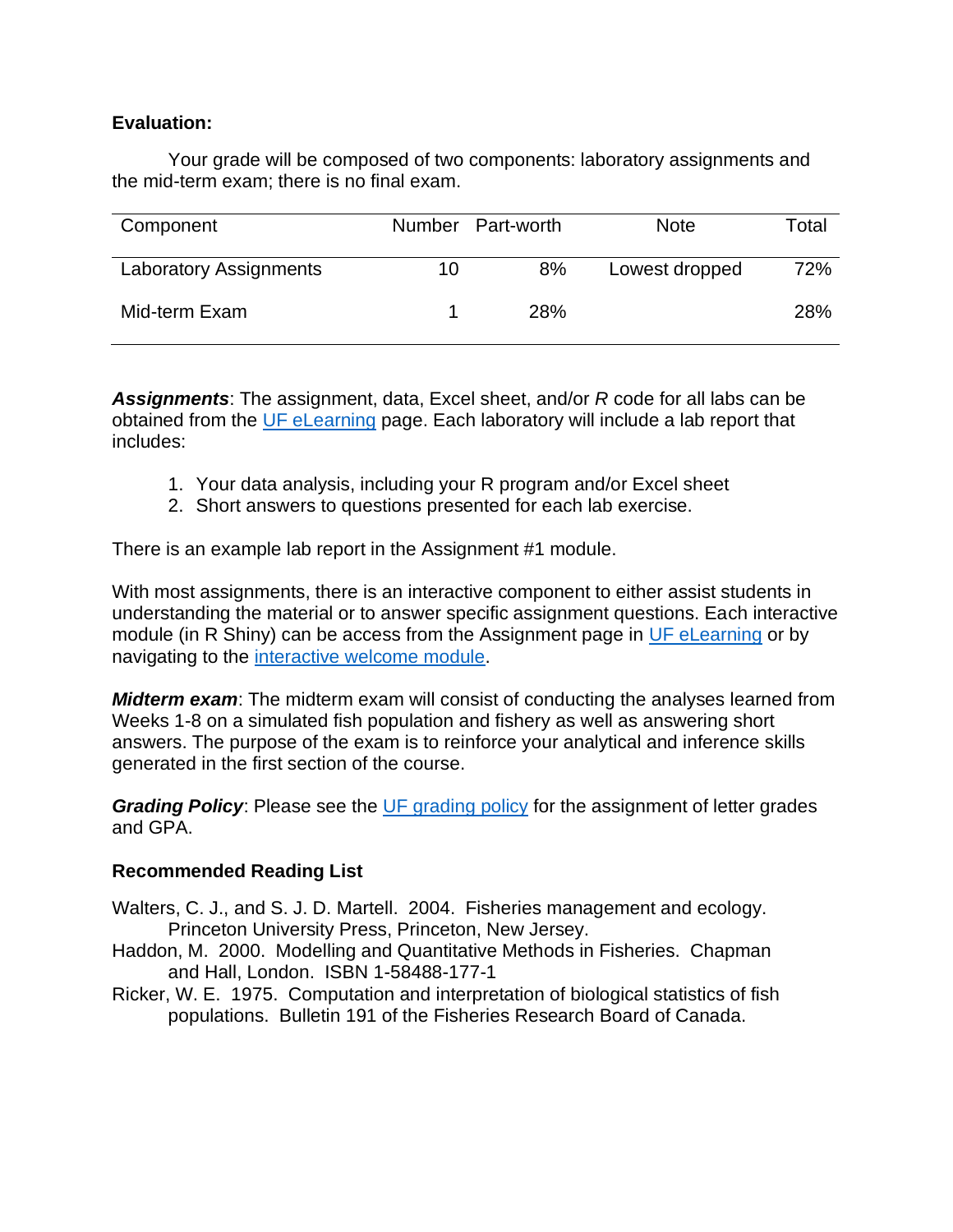# **Evaluation:**

Your grade will be composed of two components: laboratory assignments and the mid-term exam; there is no final exam.

| Component                     |    | Number Part-worth | <b>Note</b>    | Total |
|-------------------------------|----|-------------------|----------------|-------|
| <b>Laboratory Assignments</b> | 10 | 8%                | Lowest dropped | 72%   |
| Mid-term Exam                 |    | <b>28%</b>        |                | 28%   |

*Assignments*: The assignment, data, Excel sheet, and/or *R* code for all labs can be obtained from the [UF eLearning](https://ufl.instructure.com/) page. Each laboratory will include a lab report that includes:

- 1. Your data analysis, including your R program and/or Excel sheet
- 2. Short answers to questions presented for each lab exercise.

There is an example lab report in the Assignment #1 module.

With most assignments, there is an interactive component to either assist students in understanding the material or to answer specific assignment questions. Each interactive module (in R Shiny) can be access from the Assignment page in [UF eLearning](https://ufl.instructure.com/) or by navigating to the [interactive welcome module.](https://zsiders.shinyapps.io/Welcome_Module/)

*Midterm exam*: The midterm exam will consist of conducting the analyses learned from Weeks 1-8 on a simulated fish population and fishery as well as answering short answers. The purpose of the exam is to reinforce your analytical and inference skills generated in the first section of the course.

*Grading Policy:* Please see the [UF grading policy](https://catalog.ufl.edu/UGRD/academic-regulations/grades-grading-policies/) for the assignment of letter grades and GPA.

# **Recommended Reading List**

- Walters, C. J., and S. J. D. Martell. 2004. Fisheries management and ecology. Princeton University Press, Princeton, New Jersey.
- Haddon, M. 2000. Modelling and Quantitative Methods in Fisheries. Chapman and Hall, London. ISBN 1-58488-177-1
- Ricker, W. E. 1975. Computation and interpretation of biological statistics of fish populations. Bulletin 191 of the Fisheries Research Board of Canada.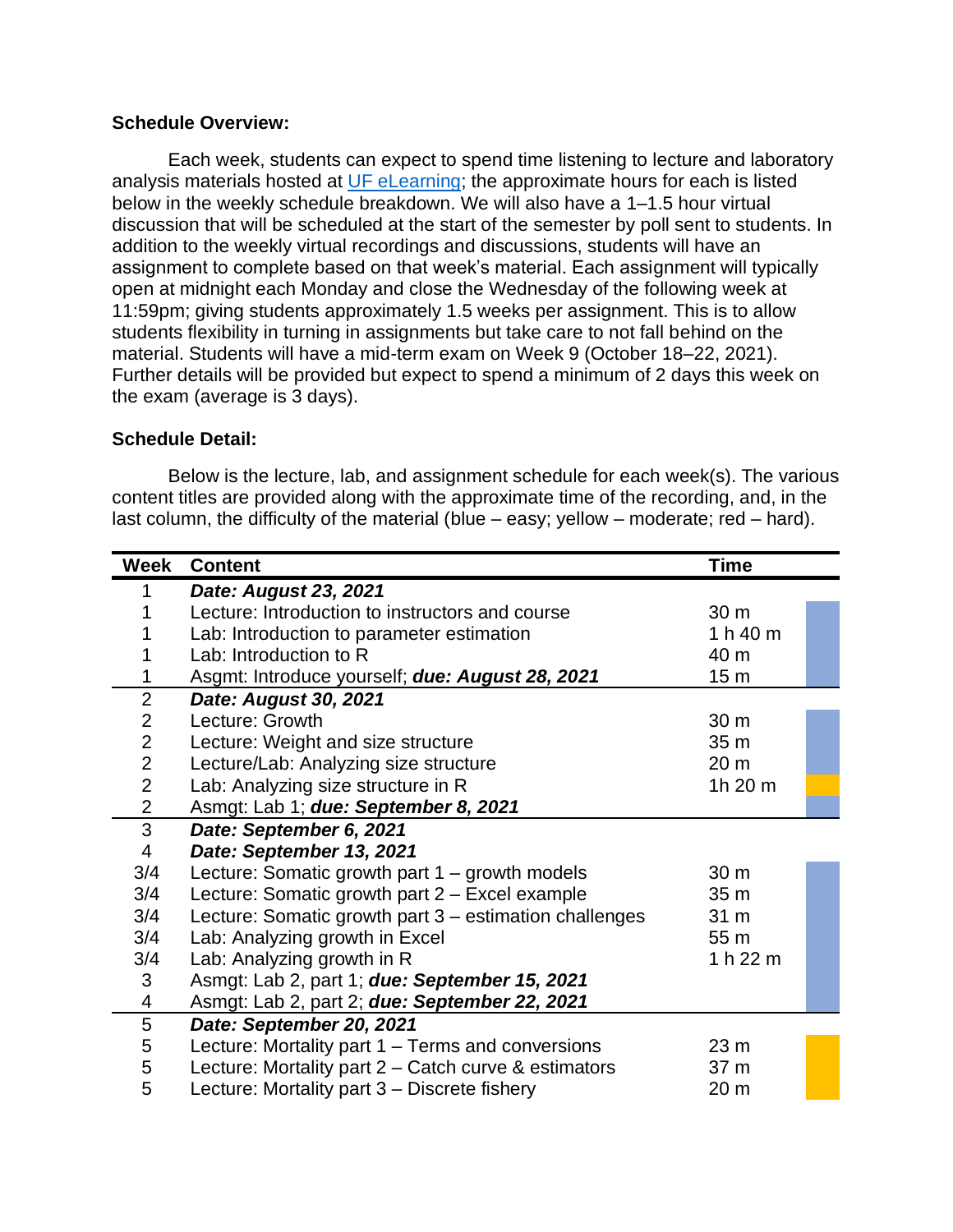#### **Schedule Overview:**

Each week, students can expect to spend time listening to lecture and laboratory analysis materials hosted at [UF eLearning;](https://ufl.instructure.com/) the approximate hours for each is listed below in the weekly schedule breakdown. We will also have a 1–1.5 hour virtual discussion that will be scheduled at the start of the semester by poll sent to students. In addition to the weekly virtual recordings and discussions, students will have an assignment to complete based on that week's material. Each assignment will typically open at midnight each Monday and close the Wednesday of the following week at 11:59pm; giving students approximately 1.5 weeks per assignment. This is to allow students flexibility in turning in assignments but take care to not fall behind on the material. Students will have a mid-term exam on Week 9 (October 18–22, 2021). Further details will be provided but expect to spend a minimum of 2 days this week on the exam (average is 3 days).

#### **Schedule Detail:**

Below is the lecture, lab, and assignment schedule for each week(s). The various content titles are provided along with the approximate time of the recording, and, in the last column, the difficulty of the material (blue – easy; yellow – moderate; red – hard).

| Week                     | <b>Content</b>                                         | <b>Time</b>     |  |
|--------------------------|--------------------------------------------------------|-----------------|--|
|                          | Date: August 23, 2021                                  |                 |  |
|                          | Lecture: Introduction to instructors and course        | 30 m            |  |
|                          | Lab: Introduction to parameter estimation              | 1 h 40 m        |  |
|                          | Lab: Introduction to R                                 | 40 m            |  |
| 1                        | Asgmt: Introduce yourself; due: August 28, 2021        | 15 <sub>m</sub> |  |
| $\overline{2}$           | Date: August 30, 2021                                  |                 |  |
| $\overline{2}$           | Lecture: Growth                                        | 30 m            |  |
| $\overline{2}$           | Lecture: Weight and size structure                     | 35 <sub>m</sub> |  |
| $\overline{2}$           | Lecture/Lab: Analyzing size structure                  | 20 <sub>m</sub> |  |
| $\overline{2}$           | Lab: Analyzing size structure in R                     | 1h 20 m         |  |
| $\overline{2}$           | Asmgt: Lab 1; due: September 8, 2021                   |                 |  |
| 3                        | Date: September 6, 2021                                |                 |  |
| $\overline{\mathcal{A}}$ | Date: September 13, 2021                               |                 |  |
| 3/4                      | Lecture: Somatic growth part $1 -$ growth models       | 30 m            |  |
| 3/4                      | Lecture: Somatic growth part 2 - Excel example         | 35 <sub>m</sub> |  |
| 3/4                      | Lecture: Somatic growth part 3 – estimation challenges | 31 m            |  |
| 3/4                      | Lab: Analyzing growth in Excel                         | 55 m            |  |
| 3/4                      | Lab: Analyzing growth in R                             | 1 h 22 m        |  |
| 3                        | Asmgt: Lab 2, part 1; due: September 15, 2021          |                 |  |
| 4                        | Asmgt: Lab 2, part 2; due: September 22, 2021          |                 |  |
| 5                        | Date: September 20, 2021                               |                 |  |
| 5                        | Lecture: Mortality part 1 – Terms and conversions      | 23 <sub>m</sub> |  |
| 5                        | Lecture: Mortality part 2 – Catch curve & estimators   | 37 <sub>m</sub> |  |
| 5                        | Lecture: Mortality part 3 – Discrete fishery           | 20 m            |  |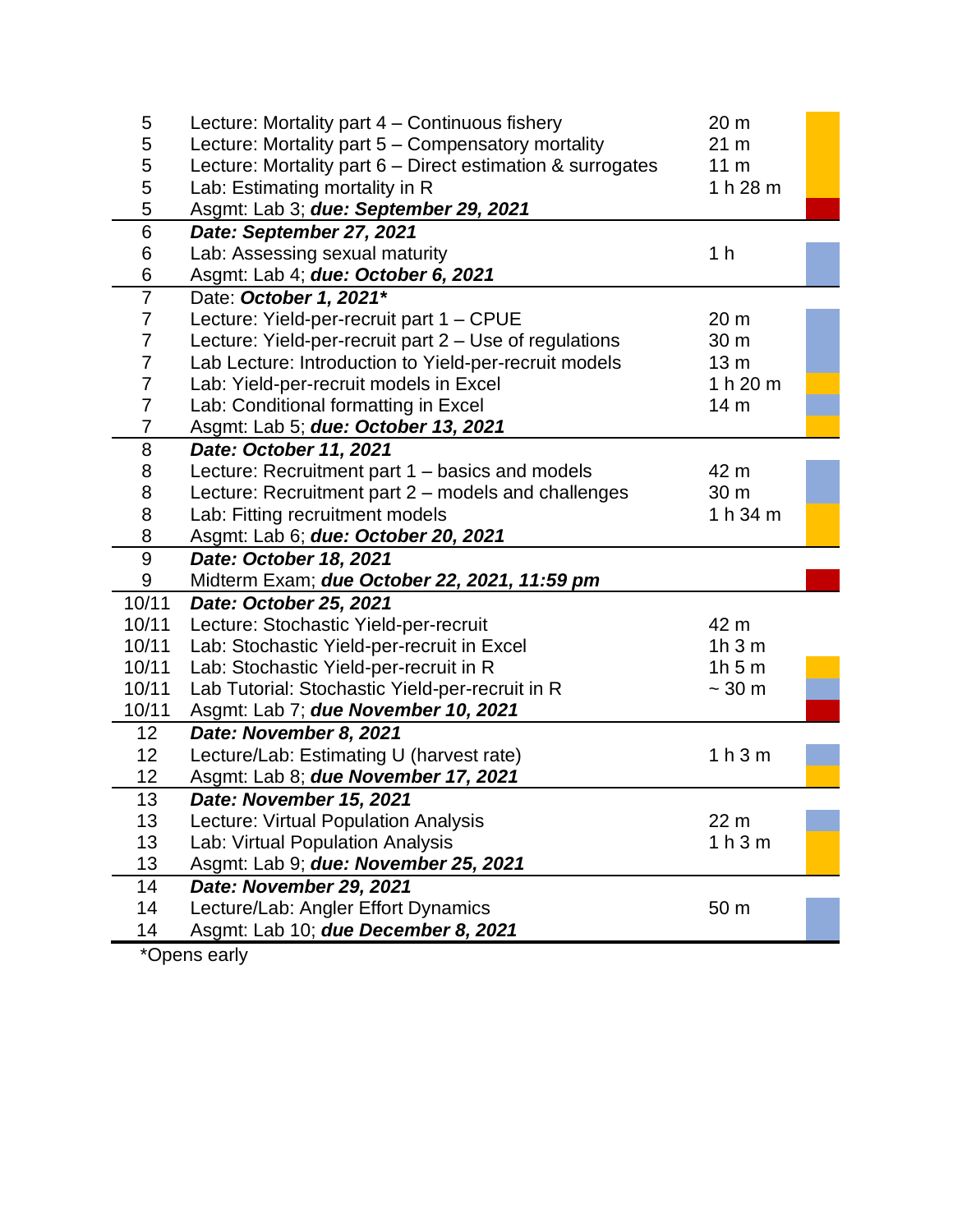| 5                | Lecture: Mortality part 4 – Continuous fishery             | 20 m                          |  |
|------------------|------------------------------------------------------------|-------------------------------|--|
| 5                | Lecture: Mortality part 5 - Compensatory mortality         | 21 <sub>m</sub>               |  |
| 5                | Lecture: Mortality part 6 - Direct estimation & surrogates | 11 <sub>m</sub>               |  |
| 5                | Lab: Estimating mortality in R                             | 1 h 28 m                      |  |
| 5                | Asgmt: Lab 3; due: September 29, 2021                      |                               |  |
| 6                | Date: September 27, 2021                                   |                               |  |
| 6                | Lab: Assessing sexual maturity                             | 1 <sub>h</sub>                |  |
| 6                | Asgmt: Lab 4; due: October 6, 2021                         |                               |  |
| $\overline{7}$   | Date: October 1, 2021*                                     |                               |  |
| $\overline{7}$   | Lecture: Yield-per-recruit part 1 - CPUE                   | 20 m                          |  |
| $\overline{7}$   | Lecture: Yield-per-recruit part 2 - Use of regulations     | 30 m                          |  |
| $\overline{7}$   | Lab Lecture: Introduction to Yield-per-recruit models      | 13 <sub>m</sub>               |  |
| $\overline{7}$   | Lab: Yield-per-recruit models in Excel                     | 1 h 20 m                      |  |
| 7                | Lab: Conditional formatting in Excel                       | 14 <sub>m</sub>               |  |
| $\overline{7}$   | Asgmt: Lab 5; due: October 13, 2021                        |                               |  |
| 8                | Date: October 11, 2021                                     |                               |  |
| 8                | Lecture: Recruitment part 1 – basics and models            | 42 m                          |  |
| 8                | Lecture: Recruitment part 2 - models and challenges        | 30 <sub>m</sub>               |  |
| 8                | Lab: Fitting recruitment models                            | 1 h 34 m                      |  |
| 8                | Asgmt: Lab 6; due: October 20, 2021                        |                               |  |
| $\boldsymbol{9}$ | Date: October 18, 2021                                     |                               |  |
| 9                | Midterm Exam; due October 22, 2021, 11:59 pm               |                               |  |
| 10/11            | Date: October 25, 2021                                     |                               |  |
| 10/11            | Lecture: Stochastic Yield-per-recruit                      | 42 m                          |  |
| 10/11            | Lab: Stochastic Yield-per-recruit in Excel                 | 1h3m                          |  |
| 10/11            | Lab: Stochastic Yield-per-recruit in R                     | 1h5m                          |  |
| 10/11            | Lab Tutorial: Stochastic Yield-per-recruit in R            | $\sim$ 30 m                   |  |
| 10/11            | Asgmt: Lab 7; due November 10, 2021                        |                               |  |
| 12 <sub>2</sub>  | Date: November 8, 2021                                     |                               |  |
| 12               | Lecture/Lab: Estimating U (harvest rate)                   | 1 <sub>h</sub> 3 <sub>m</sub> |  |
| 12               | Asgmt: Lab 8; due November 17, 2021                        |                               |  |
| 13               | Date: November 15, 2021                                    |                               |  |
| 13               | Lecture: Virtual Population Analysis                       | 22 m                          |  |
| 13               | Lab: Virtual Population Analysis                           | 1 <sub>h</sub> 3 <sub>m</sub> |  |
| 13               | Asgmt: Lab 9; due: November 25, 2021                       |                               |  |
| 14               | Date: November 29, 2021                                    |                               |  |
| 14               | Lecture/Lab: Angler Effort Dynamics                        | 50 m                          |  |
| 14               | Asgmt: Lab 10; due December 8, 2021                        |                               |  |

\*Opens early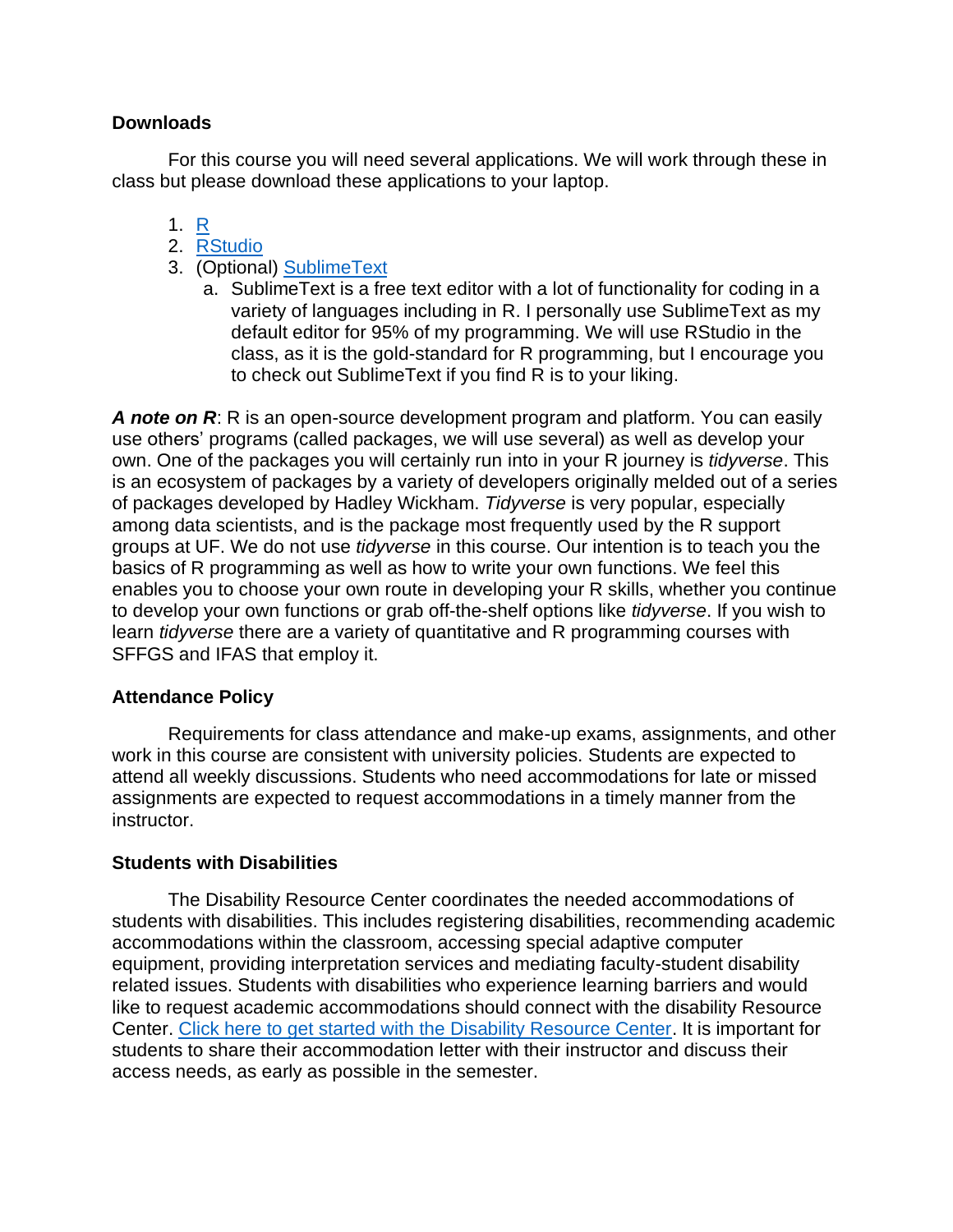# **Downloads**

For this course you will need several applications. We will work through these in class but please download these applications to your laptop.

- 1. [R](https://mirrors.nics.utk.edu/cran/)
- 2. [RStudio](https://www.rstudio.com/products/rstudio/download/#download)
- 3. (Optional) [SublimeText](http://www.sublimetext.com/)
	- a. SublimeText is a free text editor with a lot of functionality for coding in a variety of languages including in R. I personally use SublimeText as my default editor for 95% of my programming. We will use RStudio in the class, as it is the gold-standard for R programming, but I encourage you to check out SublimeText if you find R is to your liking.

*A note on R*: R is an open-source development program and platform. You can easily use others' programs (called packages, we will use several) as well as develop your own. One of the packages you will certainly run into in your R journey is *tidyverse*. This is an ecosystem of packages by a variety of developers originally melded out of a series of packages developed by Hadley Wickham. *Tidyverse* is very popular, especially among data scientists, and is the package most frequently used by the R support groups at UF. We do not use *tidyverse* in this course. Our intention is to teach you the basics of R programming as well as how to write your own functions. We feel this enables you to choose your own route in developing your R skills, whether you continue to develop your own functions or grab off-the-shelf options like *tidyverse*. If you wish to learn *tidyverse* there are a variety of quantitative and R programming courses with SFFGS and IFAS that employ it.

# **Attendance Policy**

Requirements for class attendance and make-up exams, assignments, and other work in this course are consistent with university policies. Students are expected to attend all weekly discussions. Students who need accommodations for late or missed assignments are expected to request accommodations in a timely manner from the instructor.

# **Students with Disabilities**

The Disability Resource Center coordinates the needed accommodations of students with disabilities. This includes registering disabilities, recommending academic accommodations within the classroom, accessing special adaptive computer equipment, providing interpretation services and mediating faculty-student disability related issues. Students with disabilities who experience learning barriers and would like to request academic accommodations should connect with the disability Resource Center. [Click here to get started with the Disability Resource Center.](https://disability.ufl.edu/get-started/) It is important for students to share their accommodation letter with their instructor and discuss their access needs, as early as possible in the semester.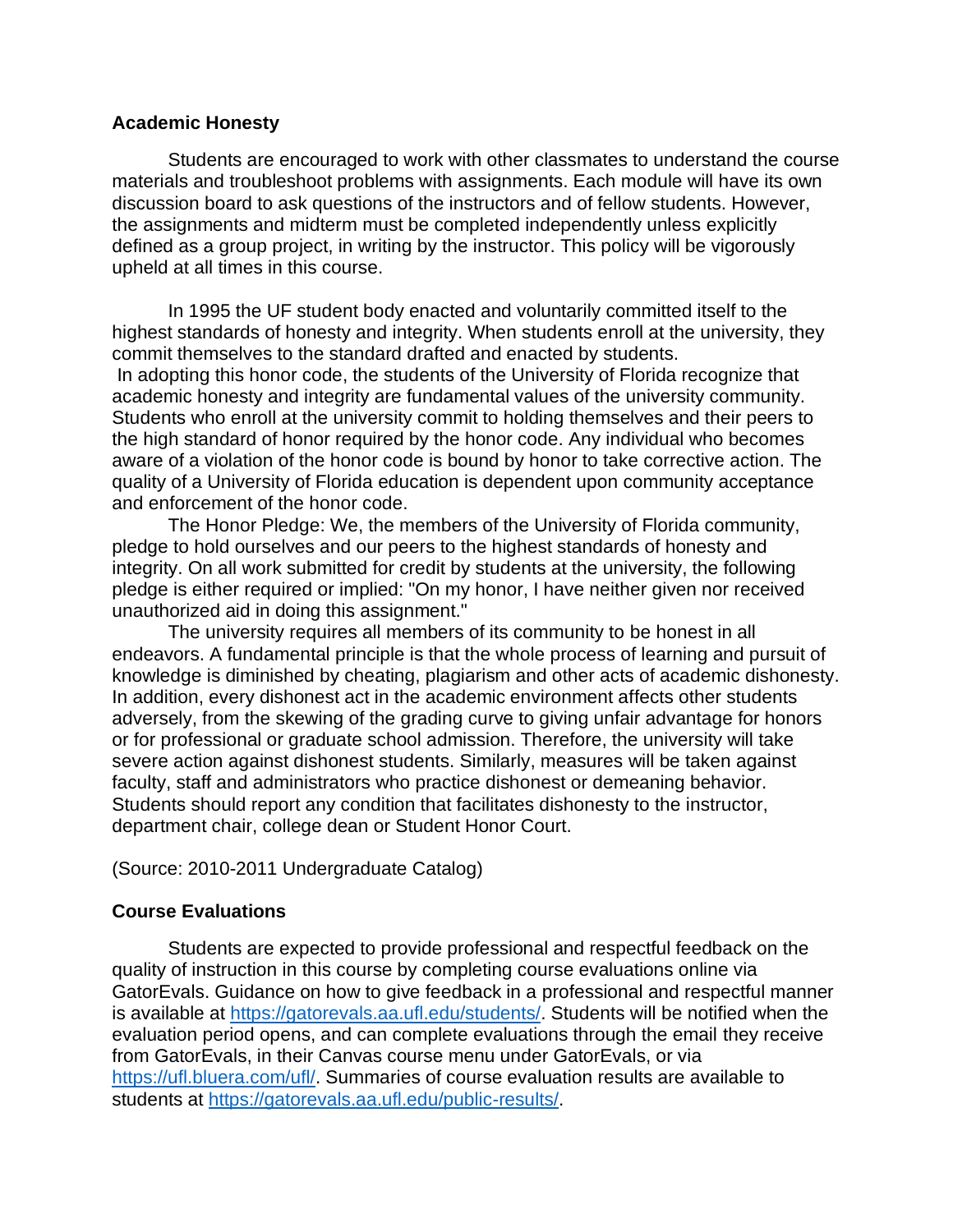#### **Academic Honesty**

Students are encouraged to work with other classmates to understand the course materials and troubleshoot problems with assignments. Each module will have its own discussion board to ask questions of the instructors and of fellow students. However, the assignments and midterm must be completed independently unless explicitly defined as a group project, in writing by the instructor. This policy will be vigorously upheld at all times in this course.

In 1995 the UF student body enacted and voluntarily committed itself to the highest standards of honesty and integrity. When students enroll at the university, they commit themselves to the standard drafted and enacted by students. In adopting this honor code, the students of the University of Florida recognize that academic honesty and integrity are fundamental values of the university community. Students who enroll at the university commit to holding themselves and their peers to the high standard of honor required by the honor code. Any individual who becomes aware of a violation of the honor code is bound by honor to take corrective action. The quality of a University of Florida education is dependent upon community acceptance and enforcement of the honor code.

The Honor Pledge: We, the members of the University of Florida community, pledge to hold ourselves and our peers to the highest standards of honesty and integrity. On all work submitted for credit by students at the university, the following pledge is either required or implied: "On my honor, I have neither given nor received unauthorized aid in doing this assignment."

The university requires all members of its community to be honest in all endeavors. A fundamental principle is that the whole process of learning and pursuit of knowledge is diminished by cheating, plagiarism and other acts of academic dishonesty. In addition, every dishonest act in the academic environment affects other students adversely, from the skewing of the grading curve to giving unfair advantage for honors or for professional or graduate school admission. Therefore, the university will take severe action against dishonest students. Similarly, measures will be taken against faculty, staff and administrators who practice dishonest or demeaning behavior. Students should report any condition that facilitates dishonesty to the instructor, department chair, college dean or Student Honor Court.

#### (Source: 2010-2011 Undergraduate Catalog)

# **Course Evaluations**

Students are expected to provide professional and respectful feedback on the quality of instruction in this course by completing course evaluations online via GatorEvals. Guidance on how to give feedback in a professional and respectful manner is available at [https://gatorevals.aa.ufl.edu/students/.](https://gatorevals.aa.ufl.edu/students/) Students will be notified when the evaluation period opens, and can complete evaluations through the email they receive from GatorEvals, in their Canvas course menu under GatorEvals, or via [https://ufl.bluera.com/ufl/.](https://ufl.bluera.com/ufl/) Summaries of course evaluation results are available to students at [https://gatorevals.aa.ufl.edu/public-results/.](https://gatorevals.aa.ufl.edu/public-results/)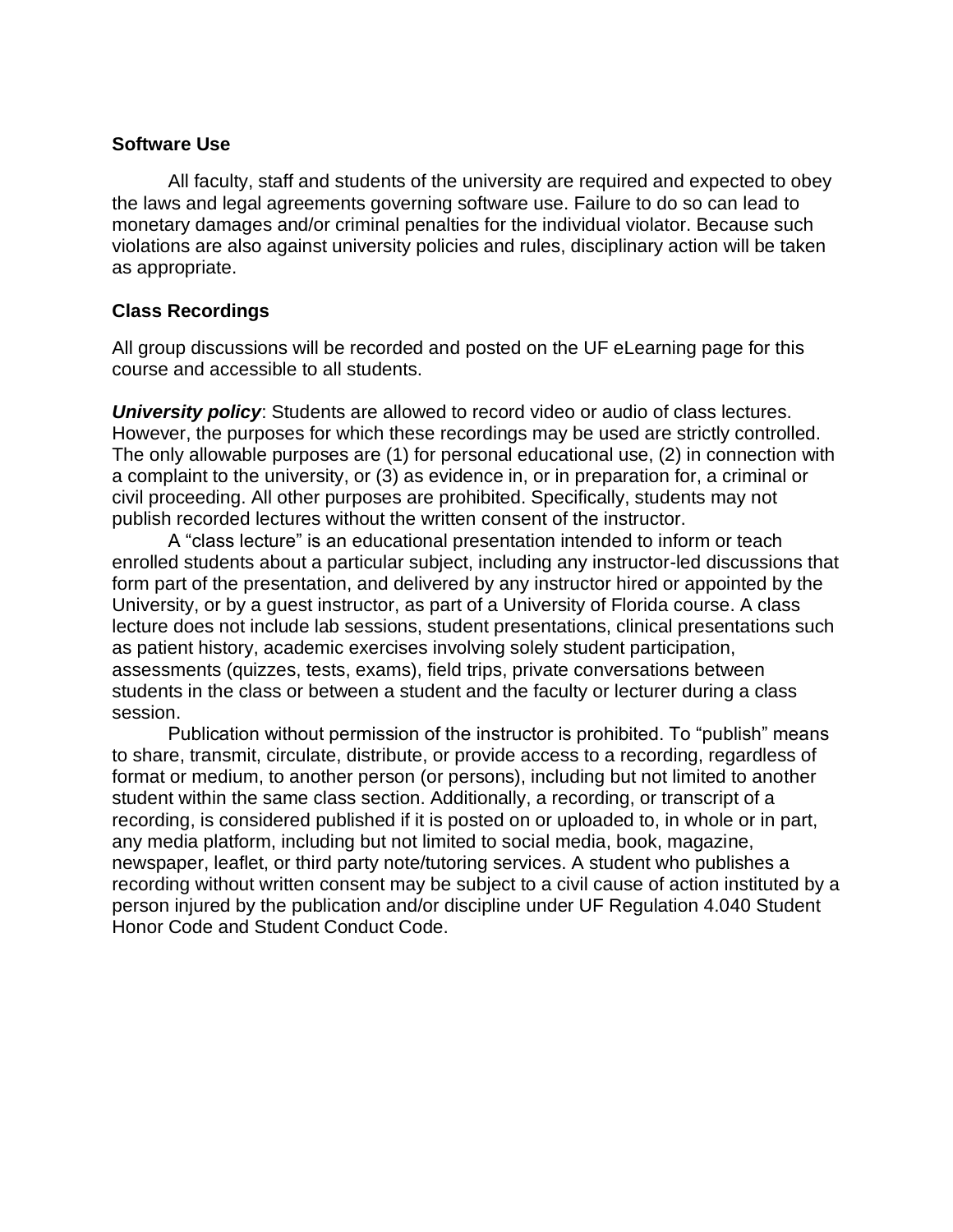#### **Software Use**

All faculty, staff and students of the university are required and expected to obey the laws and legal agreements governing software use. Failure to do so can lead to monetary damages and/or criminal penalties for the individual violator. Because such violations are also against university policies and rules, disciplinary action will be taken as appropriate.

# **Class Recordings**

All group discussions will be recorded and posted on the UF eLearning page for this course and accessible to all students.

*University policy*: Students are allowed to record video or audio of class lectures. However, the purposes for which these recordings may be used are strictly controlled. The only allowable purposes are (1) for personal educational use, (2) in connection with a complaint to the university, or (3) as evidence in, or in preparation for, a criminal or civil proceeding. All other purposes are prohibited. Specifically, students may not publish recorded lectures without the written consent of the instructor.

A "class lecture" is an educational presentation intended to inform or teach enrolled students about a particular subject, including any instructor-led discussions that form part of the presentation, and delivered by any instructor hired or appointed by the University, or by a guest instructor, as part of a University of Florida course. A class lecture does not include lab sessions, student presentations, clinical presentations such as patient history, academic exercises involving solely student participation, assessments (quizzes, tests, exams), field trips, private conversations between students in the class or between a student and the faculty or lecturer during a class session.

Publication without permission of the instructor is prohibited. To "publish" means to share, transmit, circulate, distribute, or provide access to a recording, regardless of format or medium, to another person (or persons), including but not limited to another student within the same class section. Additionally, a recording, or transcript of a recording, is considered published if it is posted on or uploaded to, in whole or in part, any media platform, including but not limited to social media, book, magazine, newspaper, leaflet, or third party note/tutoring services. A student who publishes a recording without written consent may be subject to a civil cause of action instituted by a person injured by the publication and/or discipline under UF Regulation 4.040 Student Honor Code and Student Conduct Code.